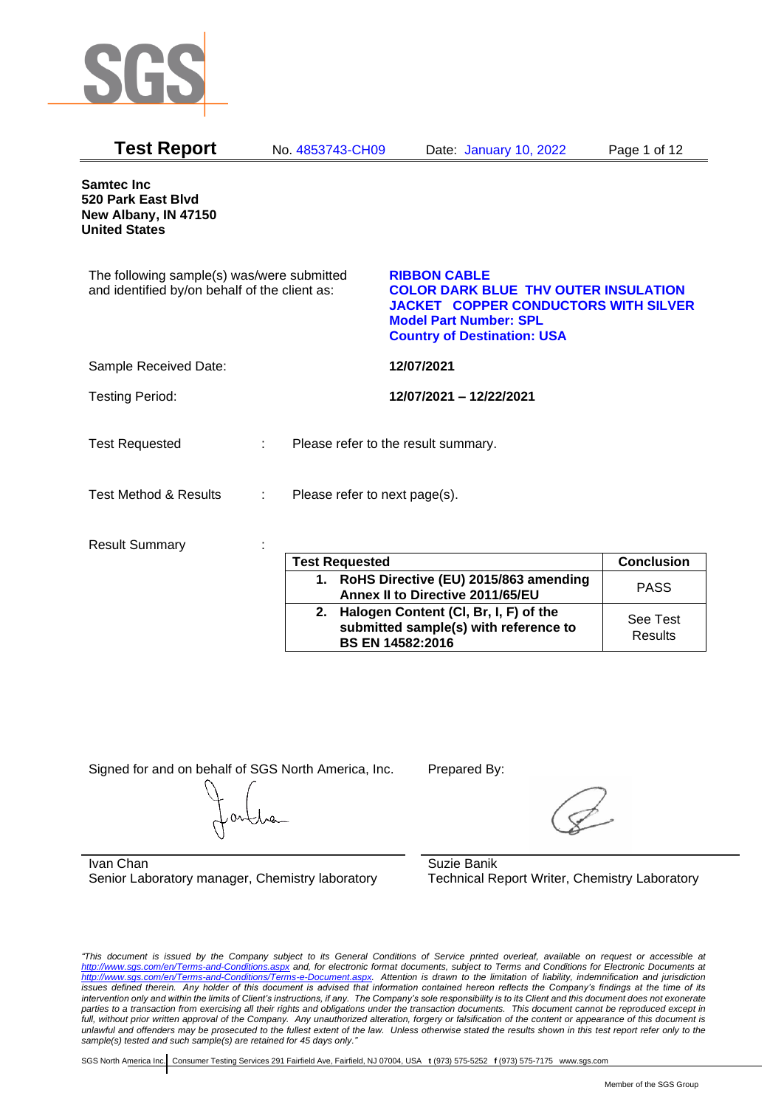

| <b>Test Report</b>                                                                          | No. 4853743-CH09              | Date: January 10, 2022                                                                                                                                                                   | Page 1 of 12      |
|---------------------------------------------------------------------------------------------|-------------------------------|------------------------------------------------------------------------------------------------------------------------------------------------------------------------------------------|-------------------|
| <b>Samtec Inc</b><br>520 Park East Blvd<br>New Albany, IN 47150<br><b>United States</b>     |                               |                                                                                                                                                                                          |                   |
| The following sample(s) was/were submitted<br>and identified by/on behalf of the client as: |                               | <b>RIBBON CABLE</b><br><b>COLOR DARK BLUE THV OUTER INSULATION</b><br><b>JACKET COPPER CONDUCTORS WITH SILVER</b><br><b>Model Part Number: SPL</b><br><b>Country of Destination: USA</b> |                   |
| Sample Received Date:                                                                       |                               | 12/07/2021                                                                                                                                                                               |                   |
| <b>Testing Period:</b>                                                                      |                               | 12/07/2021 - 12/22/2021                                                                                                                                                                  |                   |
| <b>Test Requested</b>                                                                       | ÷                             | Please refer to the result summary.                                                                                                                                                      |                   |
| <b>Test Method &amp; Results</b>                                                            | Please refer to next page(s). |                                                                                                                                                                                          |                   |
| <b>Result Summary</b>                                                                       |                               |                                                                                                                                                                                          |                   |
|                                                                                             | <b>Test Requested</b>         |                                                                                                                                                                                          | <b>Conclusion</b> |
|                                                                                             | 1.                            | RoHS Directive (EU) 2015/863 amending<br>Annex II to Directive 2011/65/EU                                                                                                                | <b>PASS</b>       |
|                                                                                             | 2.                            | Halogen Content (CI, Br, I, F) of the<br>submitted sample(s) with reference to                                                                                                           | See Test          |

**BS EN 14582:2016**

Signed for and on behalf of SGS North America, Inc. Prepared By:

Ivan Chan Senior Laboratory manager, Chemistry laboratory

Suzie Banik Technical Report Writer, Chemistry Laboratory

*"This document is issued by the Company subject to its General Conditions of Service printed overleaf, available on request or accessible at <http://www.sgs.com/en/Terms-and-Conditions.aspx> and, for electronic format documents, subject to Terms and Conditions for Electronic Documents at [http://www.sgs.com/en/Terms-and-Conditions/Terms-e-Document.aspx.](http://www.sgs.com/en/Terms-and-Conditions/Terms-e-Document.aspx) Attention is drawn to the limitation of liability, indemnification and jurisdiction issues defined therein. Any holder of this document is advised that information contained hereon reflects the Company's findings at the time of its intervention only and within the limits of Client's instructions, if any. The Company's sole responsibility is to its Client and this document does not exonerate parties to a transaction from exercising all their rights and obligations under the transaction documents. This document cannot be reproduced except in full, without prior written approval of the Company. Any unauthorized alteration, forgery or falsification of the content or appearance of this document is unlawful and offenders may be prosecuted to the fullest extent of the law. Unless otherwise stated the results shown in this test report refer only to the sample(s) tested and such sample(s) are retained for 45 days only."* 

SGS North America Inc. Consumer Testing Services 291 Fairfield Ave, Fairfield, NJ 07004, USA **t** (973) 575-5252 **f** (973) 575-7175 www.sgs.com

**Results**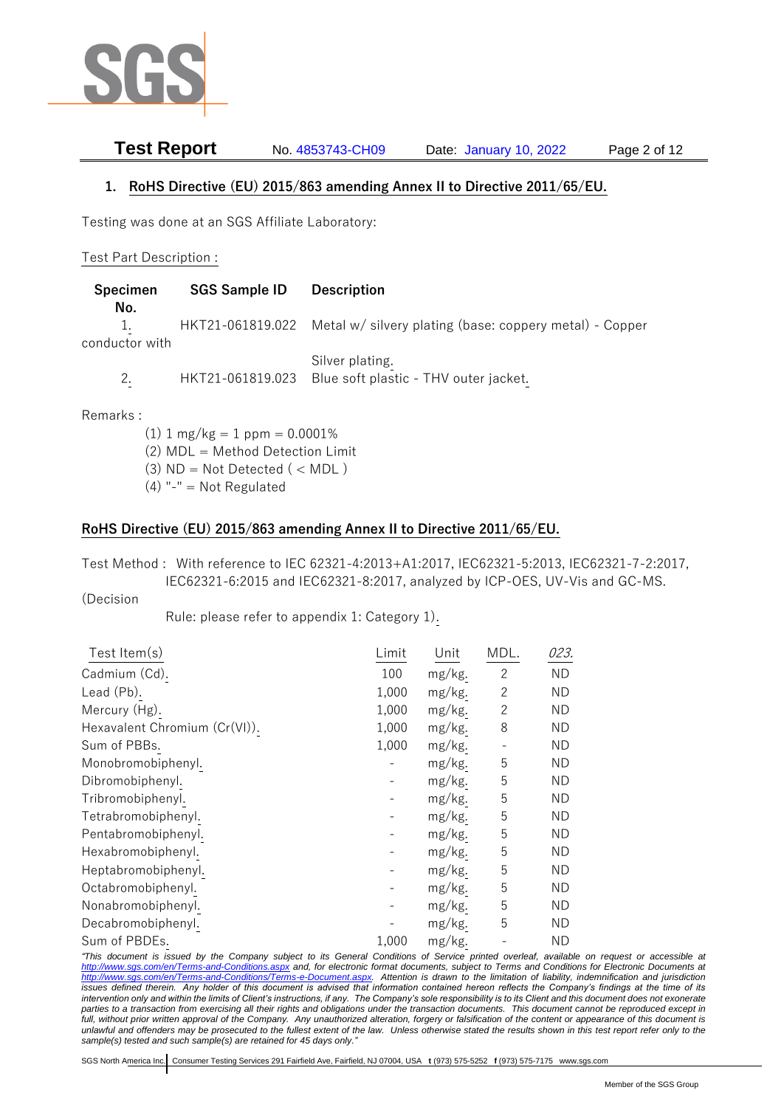

**Test Report** No. 4853743-CH09 Date: January 10, 2022 Page 2 of 12

## **1. RoHS Directive (EU) 2015/863 amending Annex II to Directive 2011/65/EU.**

Testing was done at an SGS Affiliate Laboratory:

## Test Part Description :

| <b>Specimen</b><br>No. | <b>SGS Sample ID</b> | <b>Description</b>                                                       |
|------------------------|----------------------|--------------------------------------------------------------------------|
| conductor with         |                      | HKT21-061819.022 Metal w/ silvery plating (base: coppery metal) - Copper |
|                        |                      | Silver plating.                                                          |

2. HKT21-061819.023 Blue soft plastic - THV outer jacket.

Remarks :

- $(1)$  1 mg/kg = 1 ppm = 0.0001%
- (2) MDL = Method Detection Limit
- (3)  $ND = Not detected$  ( < MDL)
- $(4)$  "-" = Not Regulated

## **RoHS Directive (EU) 2015/863 amending Annex II to Directive 2011/65/EU.**

Test Method : With reference to IEC 62321-4:2013+A1:2017, IEC62321-5:2013, IEC62321-7-2:2017, IEC62321-6:2015 and IEC62321-8:2017, analyzed by ICP-OES, UV-Vis and GC-MS.

(Decision

Rule: please refer to appendix 1: Category 1).

| Test Item(s)                  | Limit | Unit   | MDL.           | 023.      |
|-------------------------------|-------|--------|----------------|-----------|
| Cadmium (Cd).                 | 100   | mg/kg. | 2              | ΝD        |
| Lead (Pb).                    | 1,000 | mg/kg. | $\overline{c}$ | <b>ND</b> |
| Mercury (Hg).                 | 1,000 | mg/kg. | $\overline{c}$ | <b>ND</b> |
| Hexavalent Chromium (Cr(VI)). | 1,000 | mg/kg. | 8              | ΝD        |
| Sum of PBBs.                  | 1,000 | mg/kg. |                | ND        |
| Monobromobiphenyl.            |       | mg/kg. | 5              | <b>ND</b> |
| Dibromobiphenyl.              |       | mg/kg. | 5              | ND        |
| Tribromobiphenyl.             |       | mg/kg. | 5              | ND        |
| Tetrabromobiphenyl.           |       | mg/kg. | 5              | ΝD        |
| Pentabromobiphenyl.           |       | mg/kg. | 5              | ΝD        |
| Hexabromobiphenyl.            |       | mg/kg. | 5              | ND        |
| Heptabromobiphenyl.           |       | mg/kg. | 5              | ND        |
| Octabromobiphenyl.            |       | mg/kg. | 5              | ND        |
| Nonabromobiphenyl.            |       | mg/kg. | 5              | ND        |
| Decabromobiphenyl.            |       | mg/kg. | 5              | ΝD        |
| Sum of PBDEs.                 | 1,000 | mg/kg. |                | ND        |

*"This document is issued by the Company subject to its General Conditions of Service printed overleaf, available on request or accessible at <http://www.sgs.com/en/Terms-and-Conditions.aspx> and, for electronic format documents, subject to Terms and Conditions for Electronic Documents at [http://www.sgs.com/en/Terms-and-Conditions/Terms-e-Document.aspx.](http://www.sgs.com/en/Terms-and-Conditions/Terms-e-Document.aspx) Attention is drawn to the limitation of liability, indemnification and jurisdiction issues defined therein. Any holder of this document is advised that information contained hereon reflects the Company's findings at the time of its intervention only and within the limits of Client's instructions, if any. The Company's sole responsibility is to its Client and this document does not exonerate parties to a transaction from exercising all their rights and obligations under the transaction documents. This document cannot be reproduced except in full, without prior written approval of the Company. Any unauthorized alteration, forgery or falsification of the content or appearance of this document is unlawful and offenders may be prosecuted to the fullest extent of the law. Unless otherwise stated the results shown in this test report refer only to the sample(s) tested and such sample(s) are retained for 45 days only."*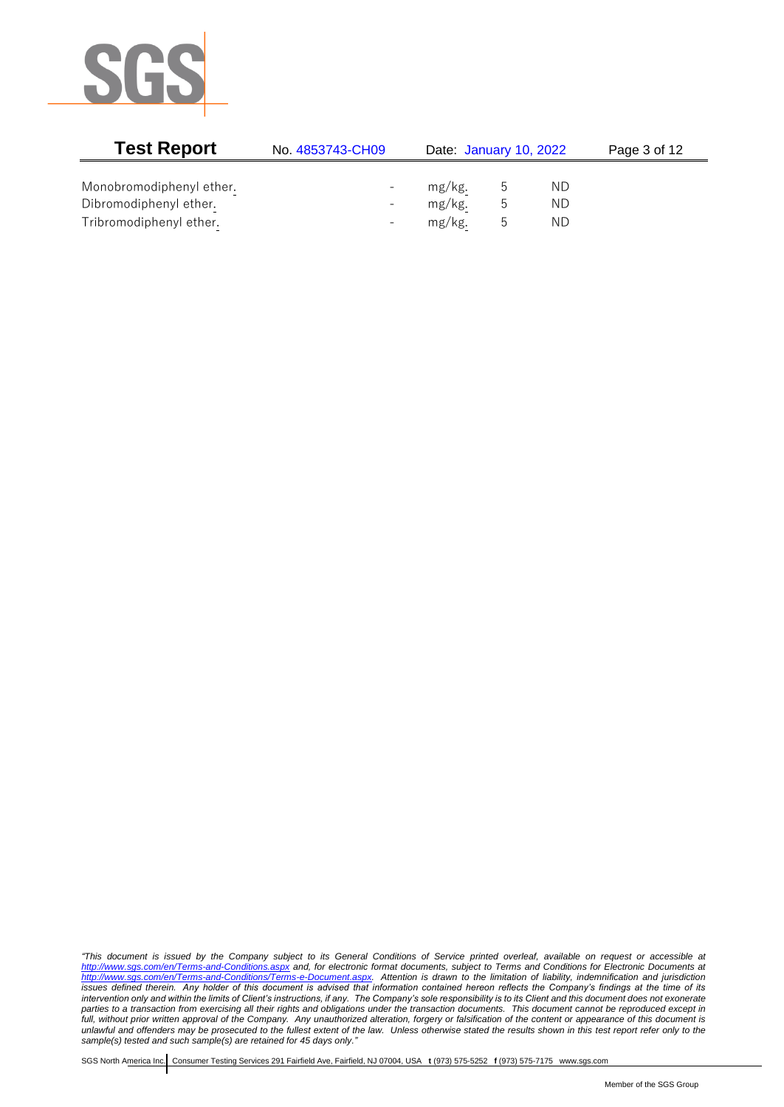

| <b>Test Report</b>       | No. 4853743-CH09         | Date: January 10, 2022 |   |    | Page 3 of 12 |
|--------------------------|--------------------------|------------------------|---|----|--------------|
|                          |                          |                        |   |    |              |
| Monobromodiphenyl ether. | $\overline{\phantom{0}}$ | mg/kg.                 | C | ND |              |
| Dibromodiphenyl ether.   | $\overline{\phantom{0}}$ | mg/kg.                 | ს | ΝD |              |
| Tribromodiphenyl ether.  | $\overline{\phantom{0}}$ | mg/kg.                 | b | ΝD |              |

*"This document is issued by the Company subject to its General Conditions of Service printed overleaf, available on request or accessible at <http://www.sgs.com/en/Terms-and-Conditions.aspx> and, for electronic format documents, subject to Terms and Conditions for Electronic Documents at [http://www.sgs.com/en/Terms-and-Conditions/Terms-e-Document.aspx.](http://www.sgs.com/en/Terms-and-Conditions/Terms-e-Document.aspx) Attention is drawn to the limitation of liability, indemnification and jurisdiction issues defined therein. Any holder of this document is advised that information contained hereon reflects the Company's findings at the time of its intervention only and within the limits of Client's instructions, if any. The Company's sole responsibility is to its Client and this document does not exonerate parties to a transaction from exercising all their rights and obligations under the transaction documents. This document cannot be reproduced except in full, without prior written approval of the Company. Any unauthorized alteration, forgery or falsification of the content or appearance of this document is unlawful and offenders may be prosecuted to the fullest extent of the law. Unless otherwise stated the results shown in this test report refer only to the sample(s) tested and such sample(s) are retained for 45 days only."*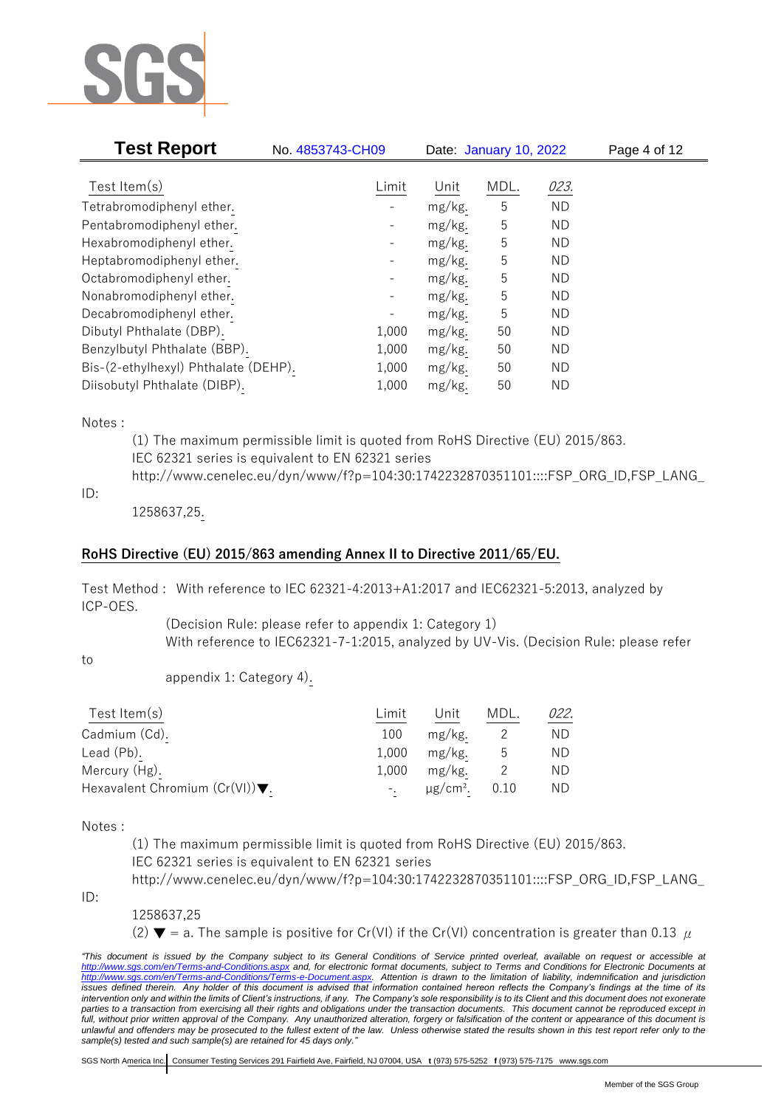

| <b>Test Report</b>                   | No. 4853743-CH09         |        | Date: January 10, 2022 |           | Page 4 of 12 |
|--------------------------------------|--------------------------|--------|------------------------|-----------|--------------|
| Test Item $(s)$                      | Limit                    | Unit   | MDL.                   | 023.      |              |
|                                      |                          |        |                        |           |              |
| Tetrabromodiphenyl ether.            |                          | mg/kg. | 5                      | <b>ND</b> |              |
| Pentabromodiphenyl ether.            |                          | mg/kg. | 5                      | ΝD        |              |
| Hexabromodiphenyl ether.             | -                        | mg/kg. | 5                      | <b>ND</b> |              |
| Heptabromodiphenyl ether.            |                          | mg/kg. | 5                      | ΝD        |              |
| Octabromodiphenyl ether.             | $\overline{\phantom{0}}$ | mg/kg. | 5                      | <b>ND</b> |              |
| Nonabromodiphenyl ether.             | -                        | mg/kg. | 5                      | ΝD        |              |
| Decabromodiphenyl ether.             |                          | mg/kg. | 5                      | ΝD        |              |
| Dibutyl Phthalate (DBP).             | 1,000                    | mg/kg. | 50                     | <b>ND</b> |              |
| Benzylbutyl Phthalate (BBP).         | 1,000                    | mg/kg. | 50                     | ΝD        |              |
| Bis-(2-ethylhexyl) Phthalate (DEHP). | 1,000                    | mg/kg. | 50                     | <b>ND</b> |              |
| Diisobutyl Phthalate (DIBP).         | 1,000                    | mg/kg. | 50                     | ND        |              |

Notes :

(1) The maximum permissible limit is quoted from RoHS Directive (EU) 2015/863. IEC 62321 series is equivalent to EN 62321 series http://www.cenelec.eu/dyn/www/f?p=104:30:1742232870351101::::FSP\_ORG\_ID,FSP\_LANG\_

ID:

1258637,25.

## **RoHS Directive (EU) 2015/863 amending Annex II to Directive 2011/65/EU.**

Test Method : With reference to IEC 62321-4:2013+A1:2017 and IEC62321-5:2013, analyzed by ICP-OES.

> (Decision Rule: please refer to appendix 1: Category 1) With reference to IEC62321-7-1:2015, analyzed by UV-Vis. (Decision Rule: please refer

to

appendix 1: Category 4).

| Test Item $(s)$                                    | Limit | Unit                      | MDL. | 022. |
|----------------------------------------------------|-------|---------------------------|------|------|
| Cadmium (Cd).                                      | 100   | mg/kg.                    |      | ND.  |
| Lead (Pb).                                         | 1.000 | mg/kg.                    |      | ND.  |
| Mercury (Hg).                                      | 1.000 | mg/kg.                    |      | ND.  |
| Hexavalent Chromium $(Cr(VI))\blacktriangledown$ . |       | $\mu$ g/cm <sup>2</sup> . | 0.10 | ND.  |

Notes :

(1) The maximum permissible limit is quoted from RoHS Directive (EU) 2015/863. IEC 62321 series is equivalent to EN 62321 series

http://www.cenelec.eu/dyn/www/f?p=104:30:1742232870351101::::FSP\_ORG\_ID,FSP\_LANG\_

ID:

1258637,25

(2)  $\blacktriangledown$  = a. The sample is positive for Cr(VI) if the Cr(VI) concentration is greater than 0.13  $\mu$ 

*"This document is issued by the Company subject to its General Conditions of Service printed overleaf, available on request or accessible at <http://www.sgs.com/en/Terms-and-Conditions.aspx> and, for electronic format documents, subject to Terms and Conditions for Electronic Documents at [http://www.sgs.com/en/Terms-and-Conditions/Terms-e-Document.aspx.](http://www.sgs.com/en/Terms-and-Conditions/Terms-e-Document.aspx) Attention is drawn to the limitation of liability, indemnification and jurisdiction issues defined therein. Any holder of this document is advised that information contained hereon reflects the Company's findings at the time of its intervention only and within the limits of Client's instructions, if any. The Company's sole responsibility is to its Client and this document does not exonerate*  parties to a transaction from exercising all their rights and obligations under the transaction documents. This document cannot be reproduced except in *full, without prior written approval of the Company. Any unauthorized alteration, forgery or falsification of the content or appearance of this document is unlawful and offenders may be prosecuted to the fullest extent of the law. Unless otherwise stated the results shown in this test report refer only to the sample(s) tested and such sample(s) are retained for 45 days only."*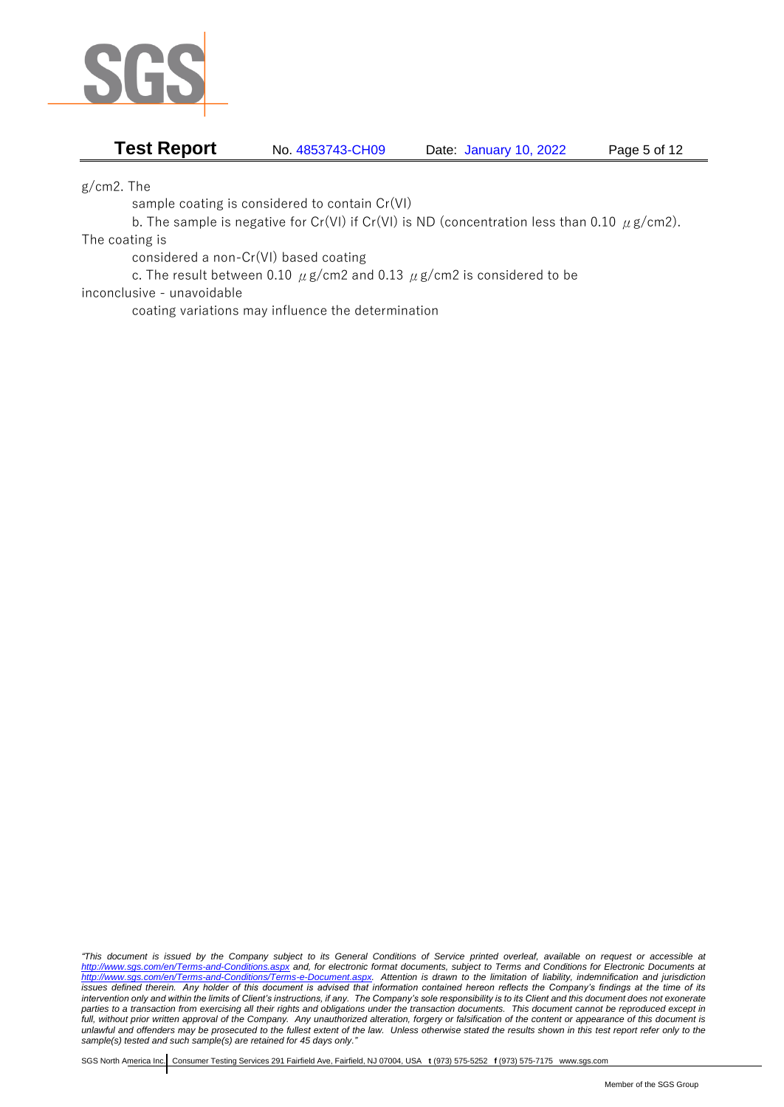

**Test Report** No. 4853743-CH09 Date: January 10, 2022 Page 5 of 12

g/cm2. The

sample coating is considered to contain Cr(VI)

b. The sample is negative for Cr(VI) if Cr(VI) is ND (concentration less than 0.10  $\mu$  g/cm2).

The coating is

considered a non-Cr(VI) based coating

c. The result between 0.10  $\mu$  g/cm2 and 0.13  $\mu$  g/cm2 is considered to be

inconclusive - unavoidable

coating variations may influence the determination

*"This document is issued by the Company subject to its General Conditions of Service printed overleaf, available on request or accessible at <http://www.sgs.com/en/Terms-and-Conditions.aspx> and, for electronic format documents, subject to Terms and Conditions for Electronic Documents at [http://www.sgs.com/en/Terms-and-Conditions/Terms-e-Document.aspx.](http://www.sgs.com/en/Terms-and-Conditions/Terms-e-Document.aspx) Attention is drawn to the limitation of liability, indemnification and jurisdiction issues defined therein. Any holder of this document is advised that information contained hereon reflects the Company's findings at the time of its intervention only and within the limits of Client's instructions, if any. The Company's sole responsibility is to its Client and this document does not exonerate parties to a transaction from exercising all their rights and obligations under the transaction documents. This document cannot be reproduced except in full, without prior written approval of the Company. Any unauthorized alteration, forgery or falsification of the content or appearance of this document is unlawful and offenders may be prosecuted to the fullest extent of the law. Unless otherwise stated the results shown in this test report refer only to the sample(s) tested and such sample(s) are retained for 45 days only."*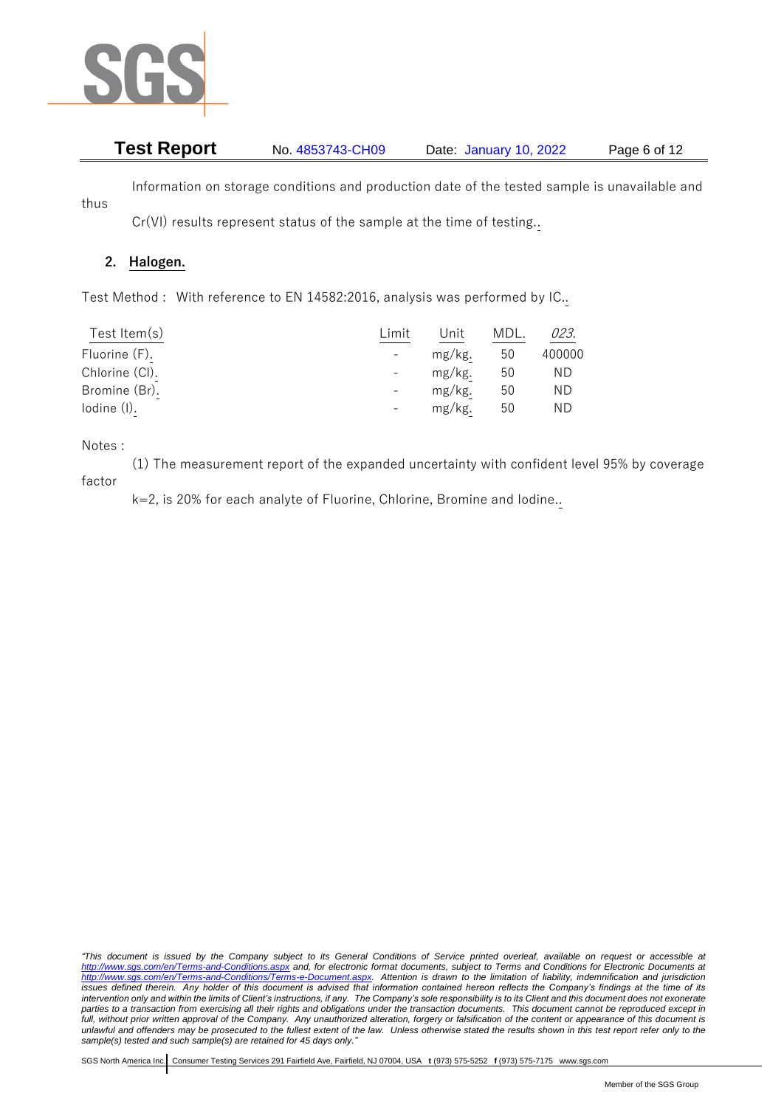

# **Test Report** No. 4853743-CH09 Date: January 10, 2022 Page 6 of 12

Information on storage conditions and production date of the tested sample is unavailable and

Cr(VI) results represent status of the sample at the time of testing..

## **2. Halogen.**

Test Method : With reference to EN 14582:2016, analysis was performed by IC..

| Test Item $(s)$ | Limit          | Unit   | MDL. | 023.   |
|-----------------|----------------|--------|------|--------|
| Fluorine (F).   | $\blacksquare$ | mg/kg. | 50   | 400000 |
| Chlorine (CI).  |                | mg/kg. | 50   | ΝD     |
| Bromine (Br).   |                | mg/kg. | 50   | ΝD     |
| lodine (I).     | $\sim$         | mg/kg. | 50   | ΝD     |

Notes :

thus

(1) The measurement report of the expanded uncertainty with confident level 95% by coverage factor

k=2, is 20% for each analyte of Fluorine, Chlorine, Bromine and Iodine..

*"This document is issued by the Company subject to its General Conditions of Service printed overleaf, available on request or accessible at <http://www.sgs.com/en/Terms-and-Conditions.aspx> and, for electronic format documents, subject to Terms and Conditions for Electronic Documents at [http://www.sgs.com/en/Terms-and-Conditions/Terms-e-Document.aspx.](http://www.sgs.com/en/Terms-and-Conditions/Terms-e-Document.aspx) Attention is drawn to the limitation of liability, indemnification and jurisdiction issues defined therein. Any holder of this document is advised that information contained hereon reflects the Company's findings at the time of its intervention only and within the limits of Client's instructions, if any. The Company's sole responsibility is to its Client and this document does not exonerate parties to a transaction from exercising all their rights and obligations under the transaction documents. This document cannot be reproduced except in full, without prior written approval of the Company. Any unauthorized alteration, forgery or falsification of the content or appearance of this document is unlawful and offenders may be prosecuted to the fullest extent of the law. Unless otherwise stated the results shown in this test report refer only to the sample(s) tested and such sample(s) are retained for 45 days only."*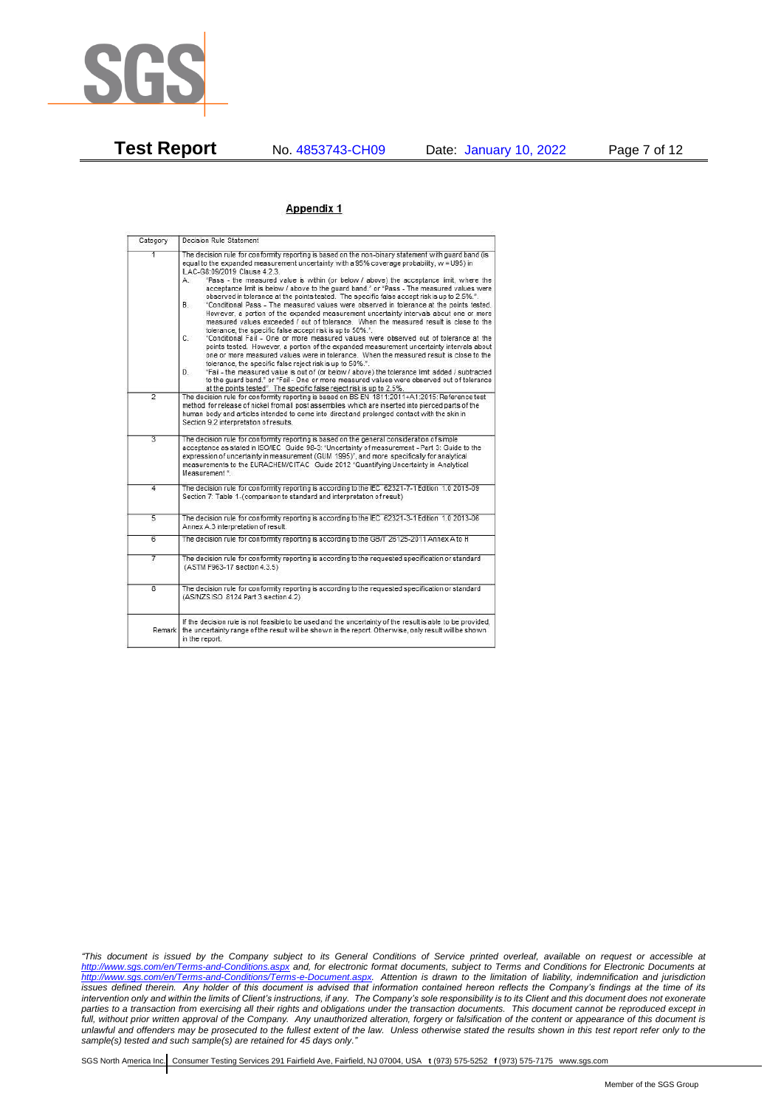

**Test Report** No. 4853743-CH09 Date: January 10, 2022 Page 7 of 12

### Appendix 1

| Category                | Decision Rule Statement                                                                                                                                                                                                                                                                                                                                                                                                                                                                                                                                                                                                                                                                                                                                                                                                                                                                                                                                                                                                                                                                                                                                                                                                                                                                                                                                                                                                                                                                                                       |
|-------------------------|-------------------------------------------------------------------------------------------------------------------------------------------------------------------------------------------------------------------------------------------------------------------------------------------------------------------------------------------------------------------------------------------------------------------------------------------------------------------------------------------------------------------------------------------------------------------------------------------------------------------------------------------------------------------------------------------------------------------------------------------------------------------------------------------------------------------------------------------------------------------------------------------------------------------------------------------------------------------------------------------------------------------------------------------------------------------------------------------------------------------------------------------------------------------------------------------------------------------------------------------------------------------------------------------------------------------------------------------------------------------------------------------------------------------------------------------------------------------------------------------------------------------------------|
| 1                       | The decision rule for conformity reporting is based on the non-binary statement with quard band (is<br>equal to the expanded measurement uncertainty with a 95% coverage probability, w = U95) in<br>ILAC-G8:09/2019 Clause 4.2.3.<br>"Pass - the measured value is within (or below / above) the acceptance limit, where the<br>А.<br>acceptance limit is below / above to the quard band," or "Pass - The measured values were<br>observed in tolerance at the points tested. The specific false accept risk is up to 2.5%.".<br>"Conditional Pass - The measured values were observed in tolerance at the points tested.<br><b>B</b><br>However, a portion of the expanded measurement uncertainty intervals about one or more<br>measured values exceeded / out of tolerance. When the measured result is close to the<br>tolerance, the specific false accept risk is up to 50%.".<br>"Conditional Fail - One or more measured values were observed out of tolerance at the<br>$C_{n}$<br>points tested. However, a portion of the expanded measurement uncertainty intervals about<br>one or more measured values were in tolerance. When the measured result is close to the<br>tolerance, the specific false reject risk is up to 50%.".<br>"Fail - the measured value is out of (or below / above) the tolerance limit added / subtracted<br>D.<br>to the quard band." or "Fail - One or more measured values were observed out of tolerance<br>at the points tested". The specific false reject risk is up to 2.5%. |
| $\overline{2}$          | The decision rule for conformity reporting is based on BS EN 1811:2011+A1:2015: Reference test<br>method for release of nickel from all post assemblies which are inserted into pierced parts of the<br>human body and articles intended to come into direct and prolonged contact with the skin in<br>Section 9.2 interpretation of results.                                                                                                                                                                                                                                                                                                                                                                                                                                                                                                                                                                                                                                                                                                                                                                                                                                                                                                                                                                                                                                                                                                                                                                                 |
| $\overline{3}$          | The decision rule for conformity reporting is based on the general consideration of simple<br>acceptance as stated in ISO/IEC Guide 98-3: "Uncertainty of measurement - Part 3: Guide to the<br>expression of uncertainty in measurement (GUM 1995)", and more specifically for analytical<br>measurements to the EURACHEM/CITAC Guide 2012 "Quantifying Uncertainty in Analytical<br>Measurement *                                                                                                                                                                                                                                                                                                                                                                                                                                                                                                                                                                                                                                                                                                                                                                                                                                                                                                                                                                                                                                                                                                                           |
| 4                       | The decision rule for conformity reporting is according to the IEC 62321-7-1 Edition 1.0 2015-09<br>Section 7: Table 1-(comparison to standard and interpretation of result)                                                                                                                                                                                                                                                                                                                                                                                                                                                                                                                                                                                                                                                                                                                                                                                                                                                                                                                                                                                                                                                                                                                                                                                                                                                                                                                                                  |
| 5                       | The decision rule for conformity reporting is according to the IEC 62321-3-1 Edition 1.0 2013-06<br>Annex A.3 interpretation of result.                                                                                                                                                                                                                                                                                                                                                                                                                                                                                                                                                                                                                                                                                                                                                                                                                                                                                                                                                                                                                                                                                                                                                                                                                                                                                                                                                                                       |
| 6                       | The decision rule for conformity reporting is according to the GB/T 26125-2011 Annex A to H                                                                                                                                                                                                                                                                                                                                                                                                                                                                                                                                                                                                                                                                                                                                                                                                                                                                                                                                                                                                                                                                                                                                                                                                                                                                                                                                                                                                                                   |
| 7                       | The decision rule for conformity reporting is according to the requested specification or standard<br>(ASTM F963-17 section 4.3.5)                                                                                                                                                                                                                                                                                                                                                                                                                                                                                                                                                                                                                                                                                                                                                                                                                                                                                                                                                                                                                                                                                                                                                                                                                                                                                                                                                                                            |
| $\overline{\mathbf{8}}$ | The decision rule for conformity reporting is according to the requested specification or standard<br>(AS/NZS ISO 8124 Part 3 section 4.2)                                                                                                                                                                                                                                                                                                                                                                                                                                                                                                                                                                                                                                                                                                                                                                                                                                                                                                                                                                                                                                                                                                                                                                                                                                                                                                                                                                                    |
| Remark                  | If the decision rule is not feasible to be used and the uncertainty of the result is able to be provided.<br>the uncertainty range of the result will be shown in the report. Otherwise, only result will be shown<br>in the report.                                                                                                                                                                                                                                                                                                                                                                                                                                                                                                                                                                                                                                                                                                                                                                                                                                                                                                                                                                                                                                                                                                                                                                                                                                                                                          |

*"This document is issued by the Company subject to its General Conditions of Service printed overleaf, available on request or accessible at <http://www.sgs.com/en/Terms-and-Conditions.aspx> and, for electronic format documents, subject to Terms and Conditions for Electronic Documents at [http://www.sgs.com/en/Terms-and-Conditions/Terms-e-Document.aspx.](http://www.sgs.com/en/Terms-and-Conditions/Terms-e-Document.aspx) Attention is drawn to the limitation of liability, indemnification and jurisdiction issues defined therein. Any holder of this document is advised that information contained hereon reflects the Company's findings at the time of its intervention only and within the limits of Client's instructions, if any. The Company's sole responsibility is to its Client and this document does not exonerate parties to a transaction from exercising all their rights and obligations under the transaction documents. This document cannot be reproduced except in full, without prior written approval of the Company. Any unauthorized alteration, forgery or falsification of the content or appearance of this document is unlawful and offenders may be prosecuted to the fullest extent of the law. Unless otherwise stated the results shown in this test report refer only to the sample(s) tested and such sample(s) are retained for 45 days only."*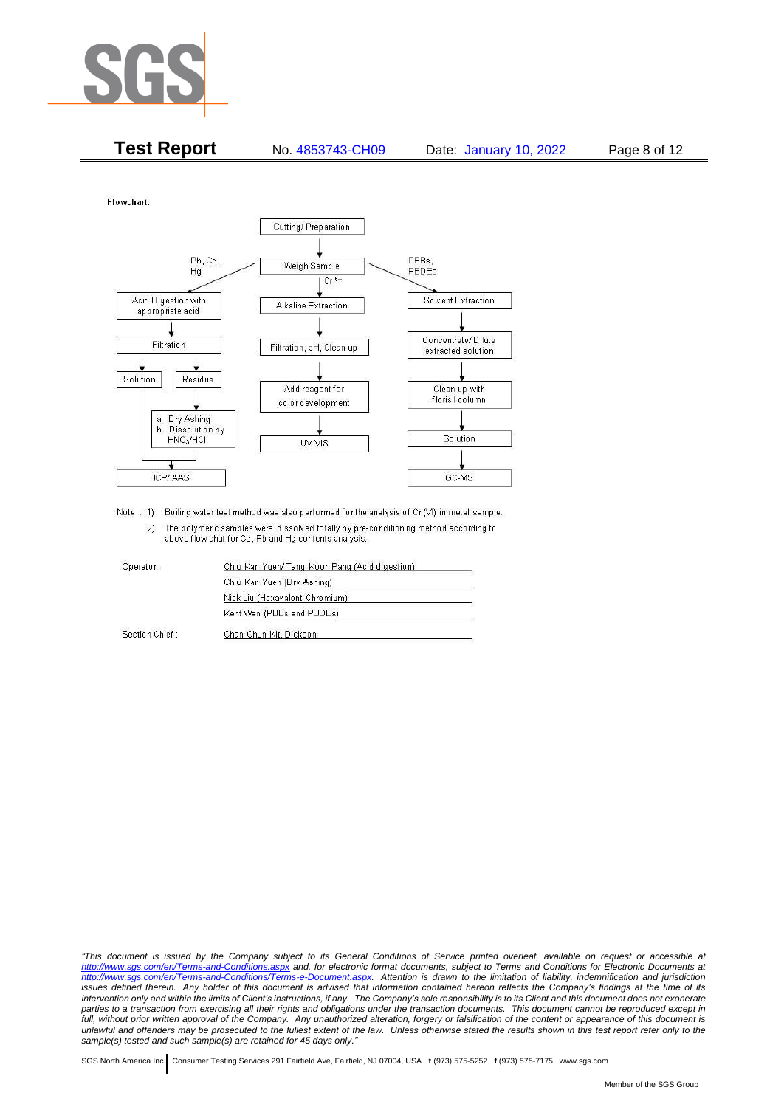

| <b>Test Report</b> | No. 4853743-CH09 | Date: January 10, 2022 | Page 8 of 12 |
|--------------------|------------------|------------------------|--------------|
|                    |                  |                        |              |

Flowchart:



Note : 1) Boiling water test method was also performed for the analysis of Cr (VI) in metal sample. 2) The polymeric samples were dissolved totally by pre-conditioning method according to above flow chat for Cd, Pb and Hg contents analysis

| Operator:      | Chiu Kan Yuen/ Tang Koon Pang (Acid digestion) |
|----------------|------------------------------------------------|
|                | Chiu Kan Yuen (Dry Ashing)                     |
|                | Nick Liu (Hexavalent Chromium)                 |
|                | Kent Wan (PBBs and PBDEs)                      |
| Section Chief: | Chan Chun Kit, Dickson                         |

*"This document is issued by the Company subject to its General Conditions of Service printed overleaf, available on request or accessible at <http://www.sgs.com/en/Terms-and-Conditions.aspx> and, for electronic format documents, subject to Terms and Conditions for Electronic Documents at [http://www.sgs.com/en/Terms-and-Conditions/Terms-e-Document.aspx.](http://www.sgs.com/en/Terms-and-Conditions/Terms-e-Document.aspx) Attention is drawn to the limitation of liability, indemnification and jurisdiction issues defined therein. Any holder of this document is advised that information contained hereon reflects the Company's findings at the time of its intervention only and within the limits of Client's instructions, if any. The Company's sole responsibility is to its Client and this document does not exonerate*  parties to a transaction from exercising all their rights and obligations under the transaction documents. This document cannot be reproduced except in *full, without prior written approval of the Company. Any unauthorized alteration, forgery or falsification of the content or appearance of this document is unlawful and offenders may be prosecuted to the fullest extent of the law. Unless otherwise stated the results shown in this test report refer only to the sample(s) tested and such sample(s) are retained for 45 days only."*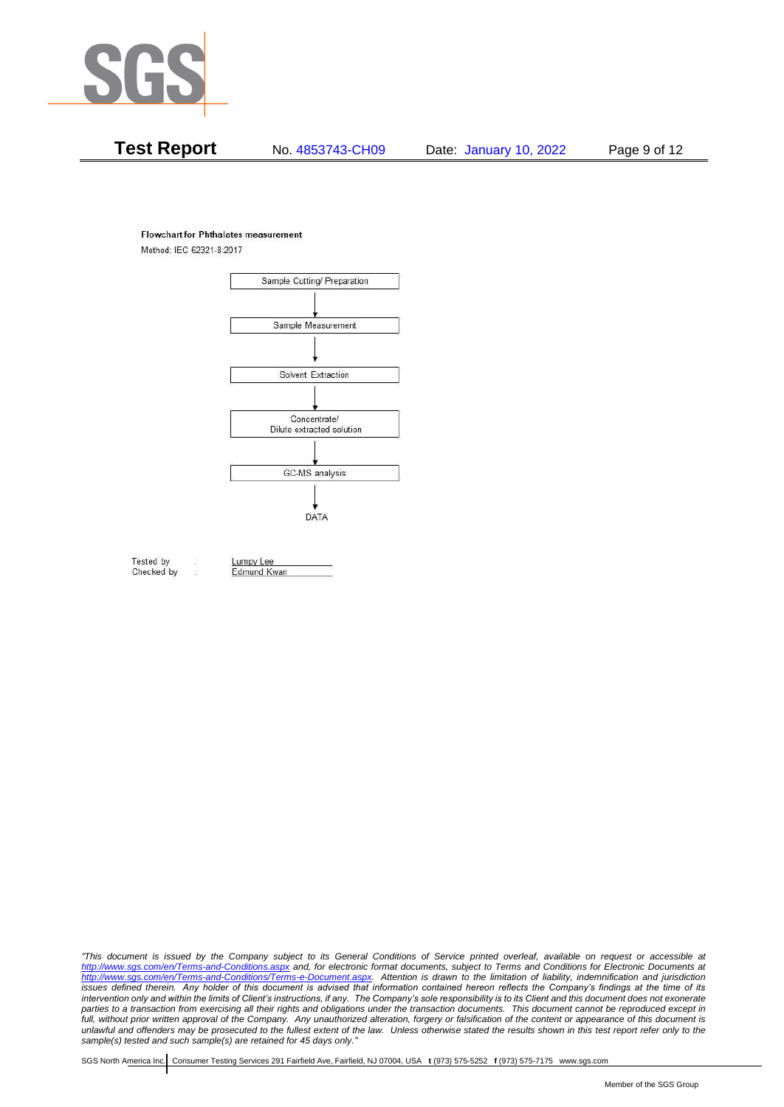

# **Test Report** No. 4853743-CH09 Date: January 10, 2022 Page 9 of 12

#### **Flowchart for Phthalates measurement**

Method: IEC 62321-8:2017



Tested by Checked by Lumpy Lee

Edmund Kwan

*"This document is issued by the Company subject to its General Conditions of Service printed overleaf, available on request or accessible at <http://www.sgs.com/en/Terms-and-Conditions.aspx> and, for electronic format documents, subject to Terms and Conditions for Electronic Documents at [http://www.sgs.com/en/Terms-and-Conditions/Terms-e-Document.aspx.](http://www.sgs.com/en/Terms-and-Conditions/Terms-e-Document.aspx) Attention is drawn to the limitation of liability, indemnification and jurisdiction issues defined therein. Any holder of this document is advised that information contained hereon reflects the Company's findings at the time of its intervention only and within the limits of Client's instructions, if any. The Company's sole responsibility is to its Client and this document does not exonerate*  parties to a transaction from exercising all their rights and obligations under the transaction documents. This document cannot be reproduced except in *full, without prior written approval of the Company. Any unauthorized alteration, forgery or falsification of the content or appearance of this document is unlawful and offenders may be prosecuted to the fullest extent of the law. Unless otherwise stated the results shown in this test report refer only to the sample(s) tested and such sample(s) are retained for 45 days only."*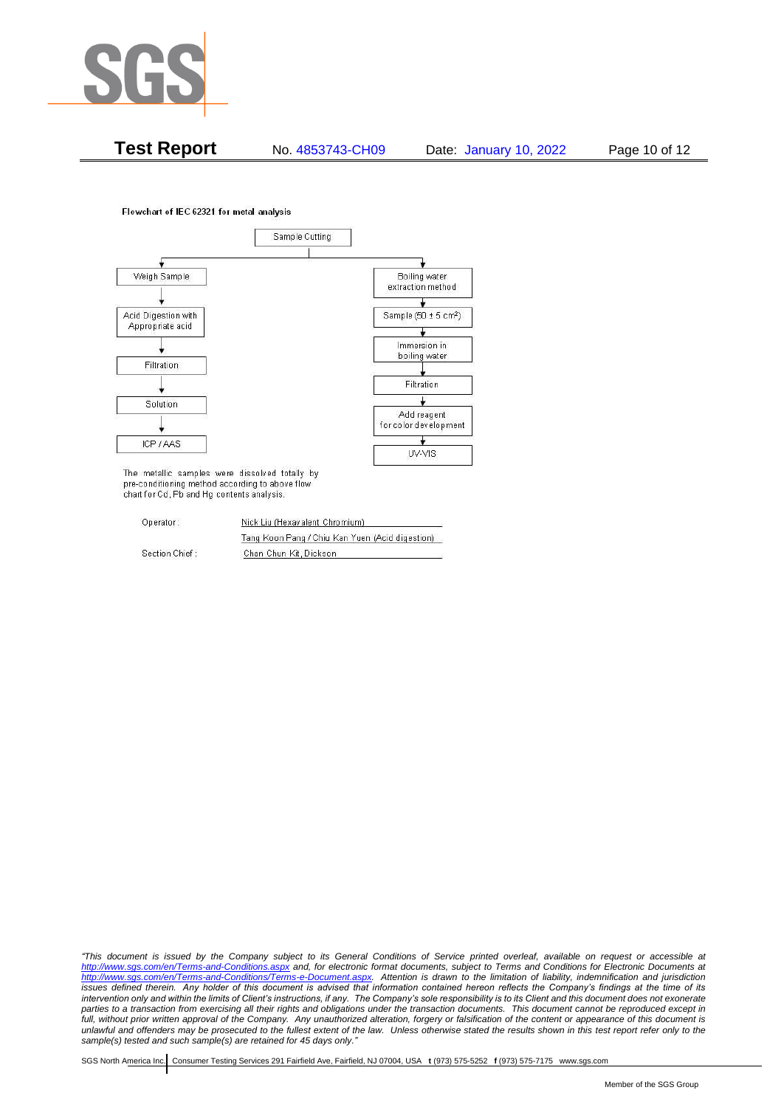

**Test Report** No. 4853743-CH09 Date: January 10, 2022 Page 10 of 12

Flowchart of IEC 62321 for metal analysis



The metallic samples were dissolved totally by pre-conditioning method according to above flow chart for Cd, Pb and Hg contents analysis.

| Operator:      | Nick Liu (Hexavalent Chromium)                  |  |
|----------------|-------------------------------------------------|--|
|                | Tang Koon Pang / Chiu Kan Yuen (Acid digestion) |  |
| Section Chief: | Chan Chun Kit, Dickson                          |  |

*"This document is issued by the Company subject to its General Conditions of Service printed overleaf, available on request or accessible at <http://www.sgs.com/en/Terms-and-Conditions.aspx> and, for electronic format documents, subject to Terms and Conditions for Electronic Documents at [http://www.sgs.com/en/Terms-and-Conditions/Terms-e-Document.aspx.](http://www.sgs.com/en/Terms-and-Conditions/Terms-e-Document.aspx) Attention is drawn to the limitation of liability, indemnification and jurisdiction issues defined therein. Any holder of this document is advised that information contained hereon reflects the Company's findings at the time of its intervention only and within the limits of Client's instructions, if any. The Company's sole responsibility is to its Client and this document does not exonerate parties to a transaction from exercising all their rights and obligations under the transaction documents. This document cannot be reproduced except in full, without prior written approval of the Company. Any unauthorized alteration, forgery or falsification of the content or appearance of this document is unlawful and offenders may be prosecuted to the fullest extent of the law. Unless otherwise stated the results shown in this test report refer only to the sample(s) tested and such sample(s) are retained for 45 days only."*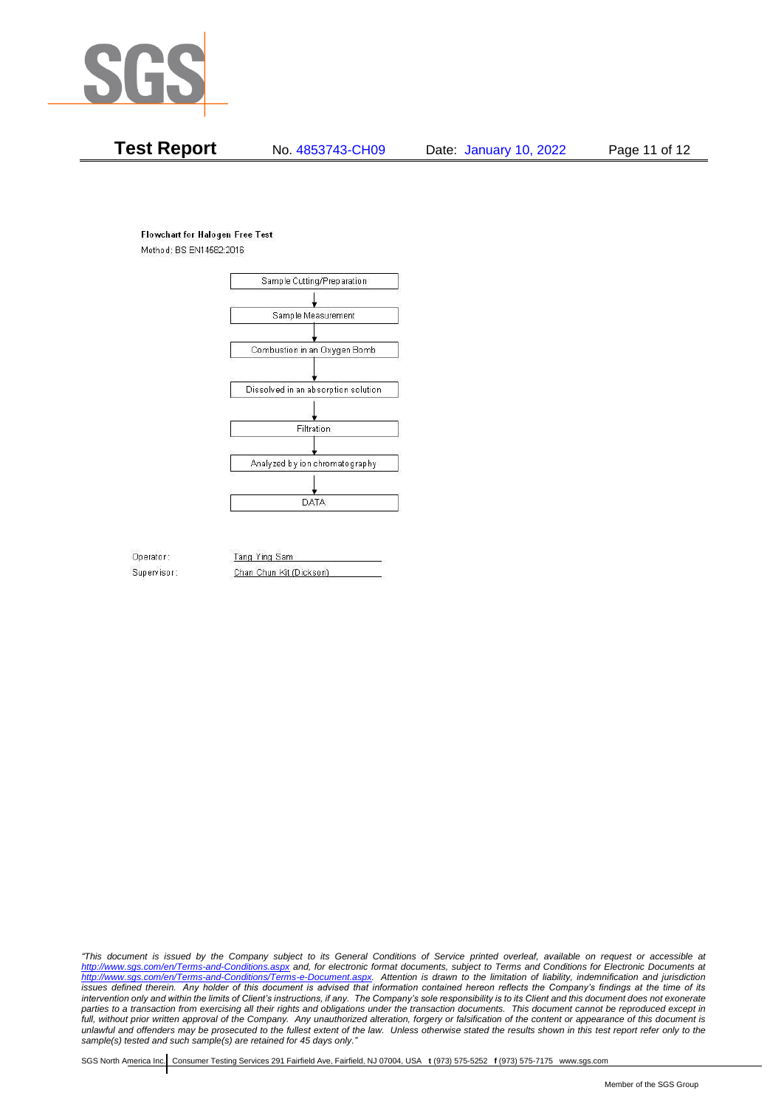

# **Test Report** No. 4853743-CH09 Date: January 10, 2022 Page 11 of 12

#### **Flowchart for Halogen Free Test**

Method: BS EN14582:2016



Operator: Supervisor: Tang Ying Sam Chan Chun Kit (Dickson)

*"This document is issued by the Company subject to its General Conditions of Service printed overleaf, available on request or accessible at <http://www.sgs.com/en/Terms-and-Conditions.aspx> and, for electronic format documents, subject to Terms and Conditions for Electronic Documents at [http://www.sgs.com/en/Terms-and-Conditions/Terms-e-Document.aspx.](http://www.sgs.com/en/Terms-and-Conditions/Terms-e-Document.aspx) Attention is drawn to the limitation of liability, indemnification and jurisdiction issues defined therein. Any holder of this document is advised that information contained hereon reflects the Company's findings at the time of its intervention only and within the limits of Client's instructions, if any. The Company's sole responsibility is to its Client and this document does not exonerate parties to a transaction from exercising all their rights and obligations under the transaction documents. This document cannot be reproduced except in full, without prior written approval of the Company. Any unauthorized alteration, forgery or falsification of the content or appearance of this document is unlawful and offenders may be prosecuted to the fullest extent of the law. Unless otherwise stated the results shown in this test report refer only to the sample(s) tested and such sample(s) are retained for 45 days only."*